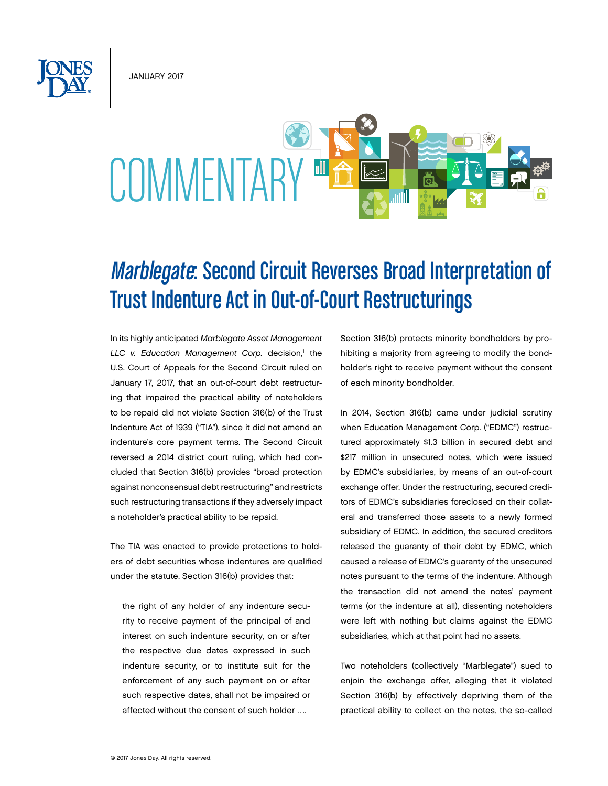January 2017



## Marblegate: Second Circuit Reverses Broad Interpretation of Trust Indenture Act in Out-of-Court Restructurings

In its highly anticipated *Marblegate Asset Management*  LLC v. Education Management Corp. decision,<sup>1</sup> the U.S. Court of Appeals for the Second Circuit ruled on January 17, 2017, that an out-of-court debt restructuring that impaired the practical ability of noteholders to be repaid did not violate Section 316(b) of the Trust Indenture Act of 1939 ("TIA"), since it did not amend an indenture's core payment terms. The Second Circuit reversed a 2014 district court ruling, which had concluded that Section 316(b) provides "broad protection against nonconsensual debt restructuring" and restricts such restructuring transactions if they adversely impact a noteholder's practical ability to be repaid.

The TIA was enacted to provide protections to holders of debt securities whose indentures are qualified under the statute. Section 316(b) provides that:

the right of any holder of any indenture security to receive payment of the principal of and interest on such indenture security, on or after the respective due dates expressed in such indenture security, or to institute suit for the enforcement of any such payment on or after such respective dates, shall not be impaired or affected without the consent of such holder ….

Section 316(b) protects minority bondholders by prohibiting a majority from agreeing to modify the bondholder's right to receive payment without the consent of each minority bondholder.

In 2014, Section 316(b) came under judicial scrutiny when Education Management Corp. ("EDMC") restructured approximately \$1.3 billion in secured debt and \$217 million in unsecured notes, which were issued by EDMC's subsidiaries, by means of an out-of-court exchange offer. Under the restructuring, secured creditors of EDMC's subsidiaries foreclosed on their collateral and transferred those assets to a newly formed subsidiary of EDMC. In addition, the secured creditors released the guaranty of their debt by EDMC, which caused a release of EDMC's guaranty of the unsecured notes pursuant to the terms of the indenture. Although the transaction did not amend the notes' payment terms (or the indenture at all), dissenting noteholders were left with nothing but claims against the EDMC subsidiaries, which at that point had no assets.

Two noteholders (collectively "Marblegate") sued to enjoin the exchange offer, alleging that it violated Section 316(b) by effectively depriving them of the practical ability to collect on the notes, the so-called